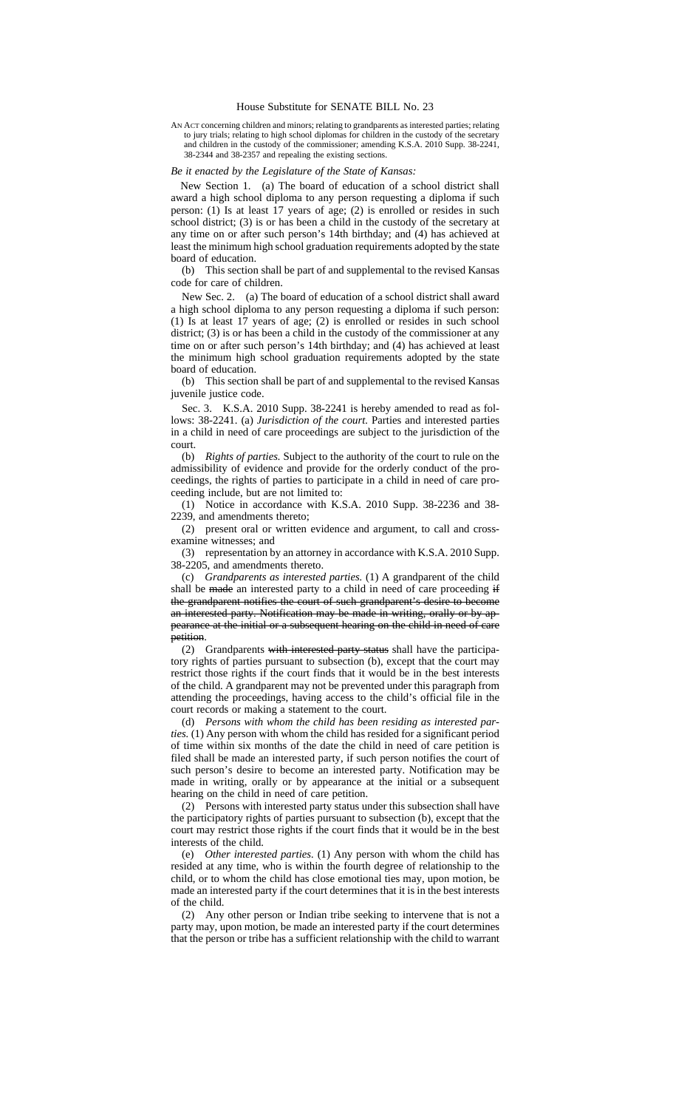## House Substitute for SENATE BILL No. 23

AN ACT concerning children and minors; relating to grandparents as interested parties; relating to jury trials; relating to high school diplomas for children in the custody of the secretar and children in the custody of the commissioner; amending K.S.A. 2010 Supp. 38-2241, 38-2344 and 38-2357 and repealing the existing sections.

## *Be it enacted by the Legislature of the State of Kansas:*

New Section 1. (a) The board of education of a school district shall award a high school diploma to any person requesting a diploma if such person: (1) Is at least 17 years of age; (2) is enrolled or resides in such school district; (3) is or has been a child in the custody of the secretary at any time on or after such person's 14th birthday; and (4) has achieved at least the minimum high school graduation requirements adopted by the state board of education.

(b) This section shall be part of and supplemental to the revised Kansas code for care of children.

New Sec. 2. (a) The board of education of a school district shall award a high school diploma to any person requesting a diploma if such person: (1) Is at least 17 years of age; (2) is enrolled or resides in such school district; (3) is or has been a child in the custody of the commissioner at any time on or after such person's 14th birthday; and (4) has achieved at least the minimum high school graduation requirements adopted by the state board of education.

(b) This section shall be part of and supplemental to the revised Kansas juvenile justice code.

Sec. 3. K.S.A. 2010 Supp. 38-2241 is hereby amended to read as follows: 38-2241. (a) *Jurisdiction of the court.* Parties and interested parties in a child in need of care proceedings are subject to the jurisdiction of the court.

(b) *Rights of parties.* Subject to the authority of the court to rule on the admissibility of evidence and provide for the orderly conduct of the proceedings, the rights of parties to participate in a child in need of care proceeding include, but are not limited to:

(1) Notice in accordance with K.S.A. 2010 Supp. 38-2236 and 38- 2239, and amendments thereto;

(2) present oral or written evidence and argument, to call and crossexamine witnesses; and

(3) representation by an attorney in accordance with K.S.A. 2010 Supp. 38-2205, and amendments thereto.

(c) *Grandparents as interested parties.* (1) A grandparent of the child shall be made an interested party to a child in need of care proceeding if the grandparent notifies the court of such grandparent's desire to become an interested party. Notification may be made in writing, orally or by appearance at the initial or a subsequent hearing on the child in need of care petition.

(2) Grandparents with interested party status shall have the participatory rights of parties pursuant to subsection (b), except that the court may restrict those rights if the court finds that it would be in the best interests of the child. A grandparent may not be prevented under this paragraph from attending the proceedings, having access to the child's official file in the court records or making a statement to the court.

(d) *Persons with whom the child has been residing as interested parties.* (1) Any person with whom the child has resided for a significant period of time within six months of the date the child in need of care petition is filed shall be made an interested party, if such person notifies the court of such person's desire to become an interested party. Notification may be made in writing, orally or by appearance at the initial or a subsequent hearing on the child in need of care petition.

(2) Persons with interested party status under this subsection shall have the participatory rights of parties pursuant to subsection (b), except that the court may restrict those rights if the court finds that it would be in the best interests of the child.

(e) *Other interested parties.* (1) Any person with whom the child has resided at any time, who is within the fourth degree of relationship to the child, or to whom the child has close emotional ties may, upon motion, be made an interested party if the court determines that it is in the best interests of the child.

(2) Any other person or Indian tribe seeking to intervene that is not a party may, upon motion, be made an interested party if the court determines that the person or tribe has a sufficient relationship with the child to warrant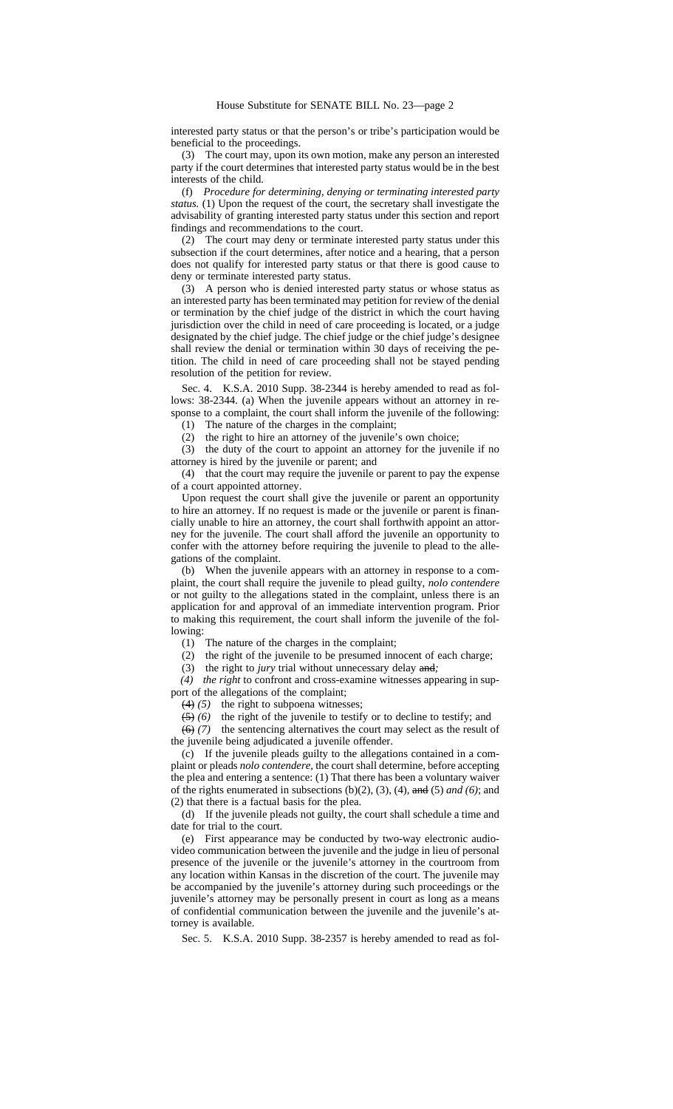interested party status or that the person's or tribe's participation would be beneficial to the proceedings.

(3) The court may, upon its own motion, make any person an interested party if the court determines that interested party status would be in the best interests of the child.

(f) *Procedure for determining, denying or terminating interested party status.* (1) Upon the request of the court, the secretary shall investigate the advisability of granting interested party status under this section and report findings and recommendations to the court.

(2) The court may deny or terminate interested party status under this subsection if the court determines, after notice and a hearing, that a person does not qualify for interested party status or that there is good cause to deny or terminate interested party status.

(3) A person who is denied interested party status or whose status as an interested party has been terminated may petition for review of the denial or termination by the chief judge of the district in which the court having jurisdiction over the child in need of care proceeding is located, or a judge designated by the chief judge. The chief judge or the chief judge's designee shall review the denial or termination within 30 days of receiving the petition. The child in need of care proceeding shall not be stayed pending resolution of the petition for review.

Sec. 4. K.S.A. 2010 Supp. 38-2344 is hereby amended to read as follows: 38-2344. (a) When the juvenile appears without an attorney in response to a complaint, the court shall inform the juvenile of the following: (1) The nature of the charges in the complaint;

(2) the right to hire an attorney of the juvenile's own choice;

(3) the duty of the court to appoint an attorney for the juvenile if no attorney is hired by the juvenile or parent; and

(4) that the court may require the juvenile or parent to pay the expense of a court appointed attorney.

Upon request the court shall give the juvenile or parent an opportunity to hire an attorney. If no request is made or the juvenile or parent is financially unable to hire an attorney, the court shall forthwith appoint an attorney for the juvenile. The court shall afford the juvenile an opportunity to confer with the attorney before requiring the juvenile to plead to the allegations of the complaint.

(b) When the juvenile appears with an attorney in response to a complaint, the court shall require the juvenile to plead guilty, *nolo contendere* or not guilty to the allegations stated in the complaint, unless there is an application for and approval of an immediate intervention program. Prior to making this requirement, the court shall inform the juvenile of the following:  $(1)$ 

The nature of the charges in the complaint;

(2) the right of the juvenile to be presumed innocent of each charge;

(3) the right to *jury* trial without unnecessary delay and*;*

*(4) the right* to confront and cross-examine witnesses appearing in support of the allegations of the complaint;

(4) *(5)* the right to subpoena witnesses;

(5) *(6)* the right of the juvenile to testify or to decline to testify; and

(6) *(7)* the sentencing alternatives the court may select as the result of the juvenile being adjudicated a juvenile offender.

(c) If the juvenile pleads guilty to the allegations contained in a complaint or pleads *nolo contendere*, the court shall determine, before accepting the plea and entering a sentence: (1) That there has been a voluntary waiver of the rights enumerated in subsections (b)(2), (3), (4)*,* and (5) *and (6)*; and (2) that there is a factual basis for the plea.

(d) If the juvenile pleads not guilty, the court shall schedule a time and date for trial to the court.

(e) First appearance may be conducted by two-way electronic audiovideo communication between the juvenile and the judge in lieu of personal presence of the juvenile or the juvenile's attorney in the courtroom from any location within Kansas in the discretion of the court. The juvenile may be accompanied by the juvenile's attorney during such proceedings or the juvenile's attorney may be personally present in court as long as a means of confidential communication between the juvenile and the juvenile's attorney is available.

Sec. 5. K.S.A. 2010 Supp. 38-2357 is hereby amended to read as fol-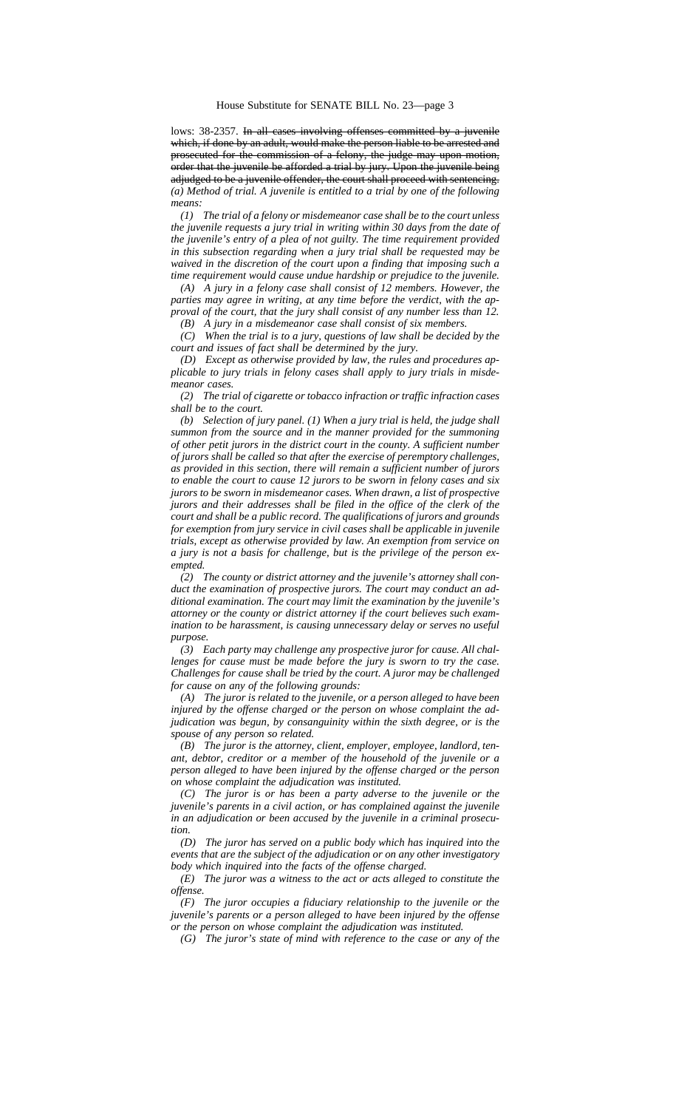lows: 38-2357. In all cases involving offenses committed by a juvenile which, if done by an adult, would make the person liable to be arrested and prosecuted for the commission of a felony, the judge may upon motion, order that the juvenile be afforded a trial by jury. Upon the juvenile being adjudged to be a juvenile offender, the court shall proceed with sentencing. *(a) Method of trial. A juvenile is entitled to a trial by one of the following means:*

*(1) The trial of a felony or misdemeanor case shall be to the court unless the juvenile requests a jury trial in writing within 30 days from the date of the juvenile's entry of a plea of not guilty. The time requirement provided in this subsection regarding when a jury trial shall be requested may be waived in the discretion of the court upon a finding that imposing such a time requirement would cause undue hardship or prejudice to the juvenile.*

*(A) A jury in a felony case shall consist of 12 members. However, the parties may agree in writing, at any time before the verdict, with the approval of the court, that the jury shall consist of any number less than 12.*

*(B) A jury in a misdemeanor case shall consist of six members.*

*(C) When the trial is to a jury, questions of law shall be decided by the court and issues of fact shall be determined by the jury.*

*(D) Except as otherwise provided by law, the rules and procedures applicable to jury trials in felony cases shall apply to jury trials in misdemeanor cases.*

*(2) The trial of cigarette or tobacco infraction or traffic infraction cases shall be to the court.*

*(b) Selection of jury panel. (1) When a jury trial is held, the judge shall summon from the source and in the manner provided for the summoning of other petit jurors in the district court in the county. A sufficient number of jurors shall be called so that after the exercise of peremptory challenges, as provided in this section, there will remain a sufficient number of jurors to enable the court to cause 12 jurors to be sworn in felony cases and six jurors to be sworn in misdemeanor cases. When drawn, a list of prospective jurors and their addresses shall be filed in the office of the clerk of the court and shall be a public record. The qualifications of jurors and grounds for exemption from jury service in civil cases shall be applicable in juvenile trials, except as otherwise provided by law. An exemption from service on a jury is not a basis for challenge, but is the privilege of the person exempted.*

*(2) The county or district attorney and the juvenile's attorney shall conduct the examination of prospective jurors. The court may conduct an additional examination. The court may limit the examination by the juvenile's attorney or the county or district attorney if the court believes such examination to be harassment, is causing unnecessary delay or serves no useful purpose.*

*(3) Each party may challenge any prospective juror for cause. All challenges for cause must be made before the jury is sworn to try the case. Challenges for cause shall be tried by the court. A juror may be challenged for cause on any of the following grounds:*

*(A) The juror is related to the juvenile, or a person alleged to have been injured by the offense charged or the person on whose complaint the adjudication was begun, by consanguinity within the sixth degree, or is the spouse of any person so related.*

*(B) The juror is the attorney, client, employer, employee, landlord, tenant, debtor, creditor or a member of the household of the juvenile or a person alleged to have been injured by the offense charged or the person on whose complaint the adjudication was instituted.*

*(C) The juror is or has been a party adverse to the juvenile or the juvenile's parents in a civil action, or has complained against the juvenile in an adjudication or been accused by the juvenile in a criminal prosecution.*

*(D) The juror has served on a public body which has inquired into the events that are the subject of the adjudication or on any other investigatory body which inquired into the facts of the offense charged.*

*(E) The juror was a witness to the act or acts alleged to constitute the offense.*

*(F) The juror occupies a fiduciary relationship to the juvenile or the juvenile's parents or a person alleged to have been injured by the offense or the person on whose complaint the adjudication was instituted.*

*(G) The juror's state of mind with reference to the case or any of the*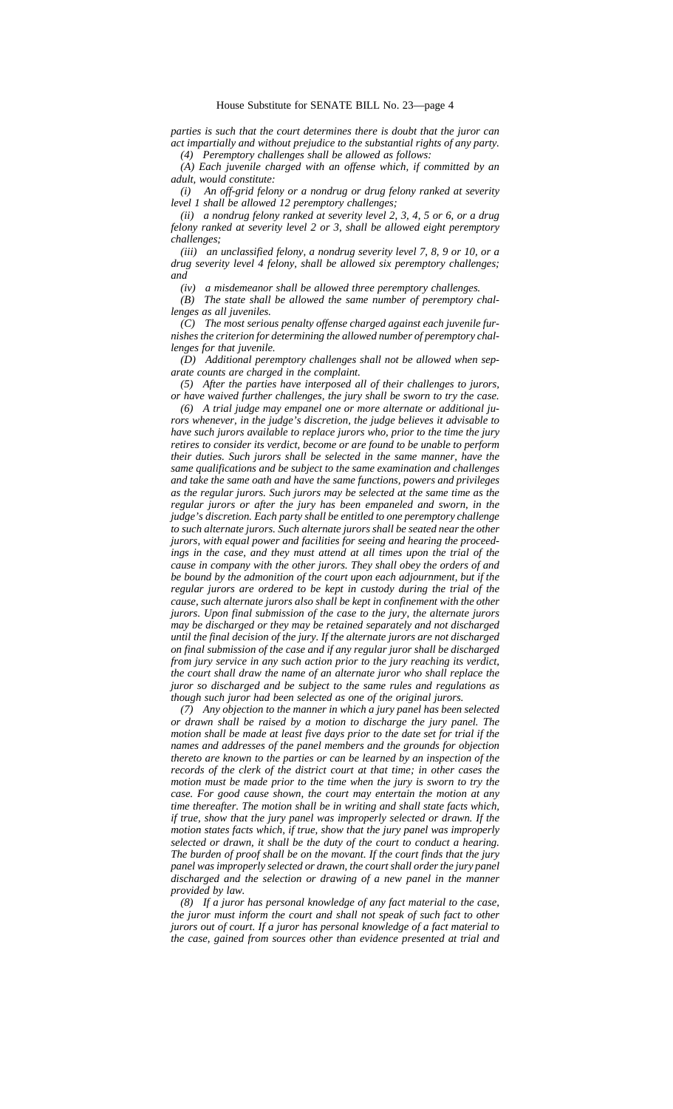*parties is such that the court determines there is doubt that the juror can act impartially and without prejudice to the substantial rights of any party. (4) Peremptory challenges shall be allowed as follows:*

*(A) Each juvenile charged with an offense which, if committed by an adult, would constitute:*

*(i) An off-grid felony or a nondrug or drug felony ranked at severity level 1 shall be allowed 12 peremptory challenges;*

*(ii) a nondrug felony ranked at severity level 2, 3, 4, 5 or 6, or a drug felony ranked at severity level 2 or 3, shall be allowed eight peremptory challenges;*

*(iii) an unclassified felony, a nondrug severity level 7, 8, 9 or 10, or a drug severity level 4 felony, shall be allowed six peremptory challenges; and*

*(iv) a misdemeanor shall be allowed three peremptory challenges.*

*(B) The state shall be allowed the same number of peremptory challenges as all juveniles.*

*(C) The most serious penalty offense charged against each juvenile furnishes the criterion for determining the allowed number of peremptory challenges for that juvenile.*

*(D) Additional peremptory challenges shall not be allowed when separate counts are charged in the complaint.*

*(5) After the parties have interposed all of their challenges to jurors, or have waived further challenges, the jury shall be sworn to try the case.*

*(6) A trial judge may empanel one or more alternate or additional jurors whenever, in the judge's discretion, the judge believes it advisable to have such jurors available to replace jurors who, prior to the time the jury retires to consider its verdict, become or are found to be unable to perform their duties. Such jurors shall be selected in the same manner, have the same qualifications and be subject to the same examination and challenges and take the same oath and have the same functions, powers and privileges as the regular jurors. Such jurors may be selected at the same time as the regular jurors or after the jury has been empaneled and sworn, in the judge's discretion. Each party shall be entitled to one peremptory challenge to such alternate jurors. Such alternate jurors shall be seated near the other jurors, with equal power and facilities for seeing and hearing the proceedings in the case, and they must attend at all times upon the trial of the cause in company with the other jurors. They shall obey the orders of and be bound by the admonition of the court upon each adjournment, but if the regular jurors are ordered to be kept in custody during the trial of the cause, such alternate jurors also shall be kept in confinement with the other jurors. Upon final submission of the case to the jury, the alternate jurors may be discharged or they may be retained separately and not discharged until the final decision of the jury. If the alternate jurors are not discharged on final submission of the case and if any regular juror shall be discharged from jury service in any such action prior to the jury reaching its verdict, the court shall draw the name of an alternate juror who shall replace the juror so discharged and be subject to the same rules and regulations as though such juror had been selected as one of the original jurors.*

*(7) Any objection to the manner in which a jury panel has been selected or drawn shall be raised by a motion to discharge the jury panel. The motion shall be made at least five days prior to the date set for trial if the names and addresses of the panel members and the grounds for objection thereto are known to the parties or can be learned by an inspection of the records of the clerk of the district court at that time; in other cases the motion must be made prior to the time when the jury is sworn to try the case. For good cause shown, the court may entertain the motion at any time thereafter. The motion shall be in writing and shall state facts which, if true, show that the jury panel was improperly selected or drawn. If the motion states facts which, if true, show that the jury panel was improperly selected or drawn, it shall be the duty of the court to conduct a hearing. The burden of proof shall be on the movant. If the court finds that the jury panel was improperly selected or drawn, the court shall order the jury panel discharged and the selection or drawing of a new panel in the manner provided by law.*

*(8) If a juror has personal knowledge of any fact material to the case, the juror must inform the court and shall not speak of such fact to other jurors out of court. If a juror has personal knowledge of a fact material to the case, gained from sources other than evidence presented at trial and*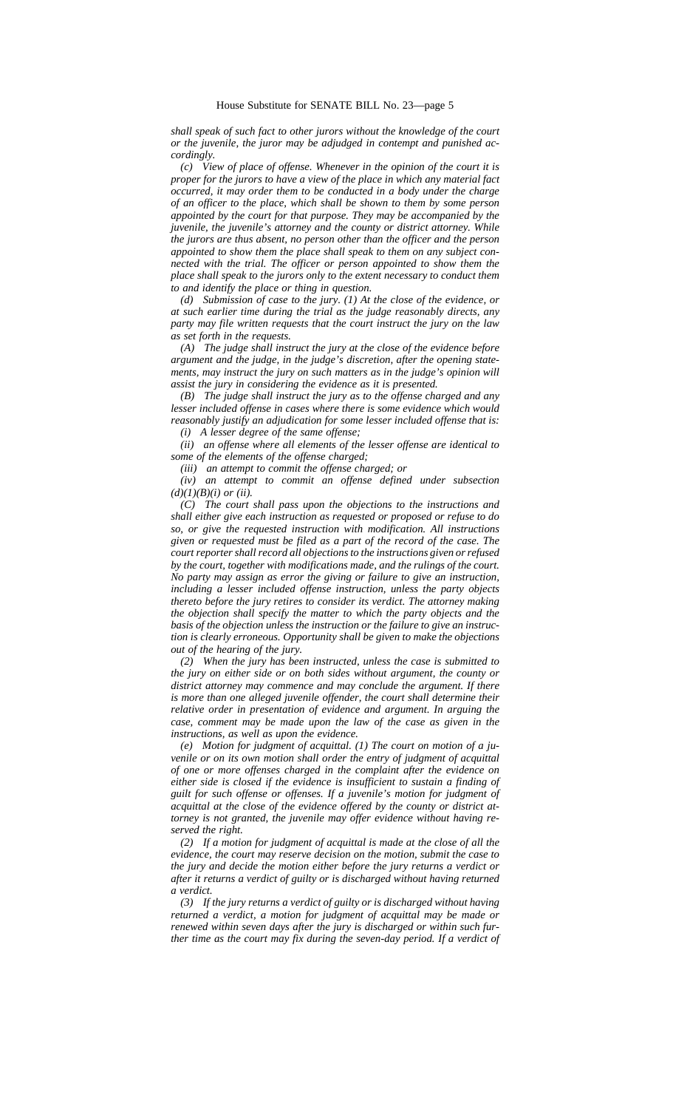*shall speak of such fact to other jurors without the knowledge of the court or the juvenile, the juror may be adjudged in contempt and punished accordingly.*

*(c) View of place of offense. Whenever in the opinion of the court it is proper for the jurors to have a view of the place in which any material fact occurred, it may order them to be conducted in a body under the charge of an officer to the place, which shall be shown to them by some person appointed by the court for that purpose. They may be accompanied by the juvenile, the juvenile's attorney and the county or district attorney. While the jurors are thus absent, no person other than the officer and the person appointed to show them the place shall speak to them on any subject connected with the trial. The officer or person appointed to show them the place shall speak to the jurors only to the extent necessary to conduct them to and identify the place or thing in question.*

*(d) Submission of case to the jury. (1) At the close of the evidence, or at such earlier time during the trial as the judge reasonably directs, any party may file written requests that the court instruct the jury on the law as set forth in the requests.*

*(A) The judge shall instruct the jury at the close of the evidence before argument and the judge, in the judge's discretion, after the opening statements, may instruct the jury on such matters as in the judge's opinion will assist the jury in considering the evidence as it is presented.*

*(B) The judge shall instruct the jury as to the offense charged and any lesser included offense in cases where there is some evidence which would reasonably justify an adjudication for some lesser included offense that is: (i) A lesser degree of the same offense;*

*(ii) an offense where all elements of the lesser offense are identical to some of the elements of the offense charged;*

*(iii) an attempt to commit the offense charged; or*

*(iv) an attempt to commit an offense defined under subsection*  $(d)(1)(B)(i)$  or (ii).

*(C) The court shall pass upon the objections to the instructions and shall either give each instruction as requested or proposed or refuse to do so, or give the requested instruction with modification. All instructions given or requested must be filed as a part of the record of the case. The court reporter shall record all objections to the instructions given or refused by the court, together with modifications made, and the rulings of the court. No party may assign as error the giving or failure to give an instruction, including a lesser included offense instruction, unless the party objects thereto before the jury retires to consider its verdict. The attorney making the objection shall specify the matter to which the party objects and the basis of the objection unless the instruction or the failure to give an instruction is clearly erroneous. Opportunity shall be given to make the objections out of the hearing of the jury.*

*(2) When the jury has been instructed, unless the case is submitted to the jury on either side or on both sides without argument, the county or district attorney may commence and may conclude the argument. If there is more than one alleged juvenile offender, the court shall determine their relative order in presentation of evidence and argument. In arguing the case, comment may be made upon the law of the case as given in the instructions, as well as upon the evidence.*

*(e) Motion for judgment of acquittal. (1) The court on motion of a juvenile or on its own motion shall order the entry of judgment of acquittal of one or more offenses charged in the complaint after the evidence on either side is closed if the evidence is insufficient to sustain a finding of guilt for such offense or offenses. If a juvenile's motion for judgment of acquittal at the close of the evidence offered by the county or district attorney is not granted, the juvenile may offer evidence without having reserved the right.*

*(2) If a motion for judgment of acquittal is made at the close of all the evidence, the court may reserve decision on the motion, submit the case to the jury and decide the motion either before the jury returns a verdict or after it returns a verdict of guilty or is discharged without having returned a verdict.*

*(3) If the jury returns a verdict of guilty or is discharged without having returned a verdict, a motion for judgment of acquittal may be made or renewed within seven days after the jury is discharged or within such further time as the court may fix during the seven-day period. If a verdict of*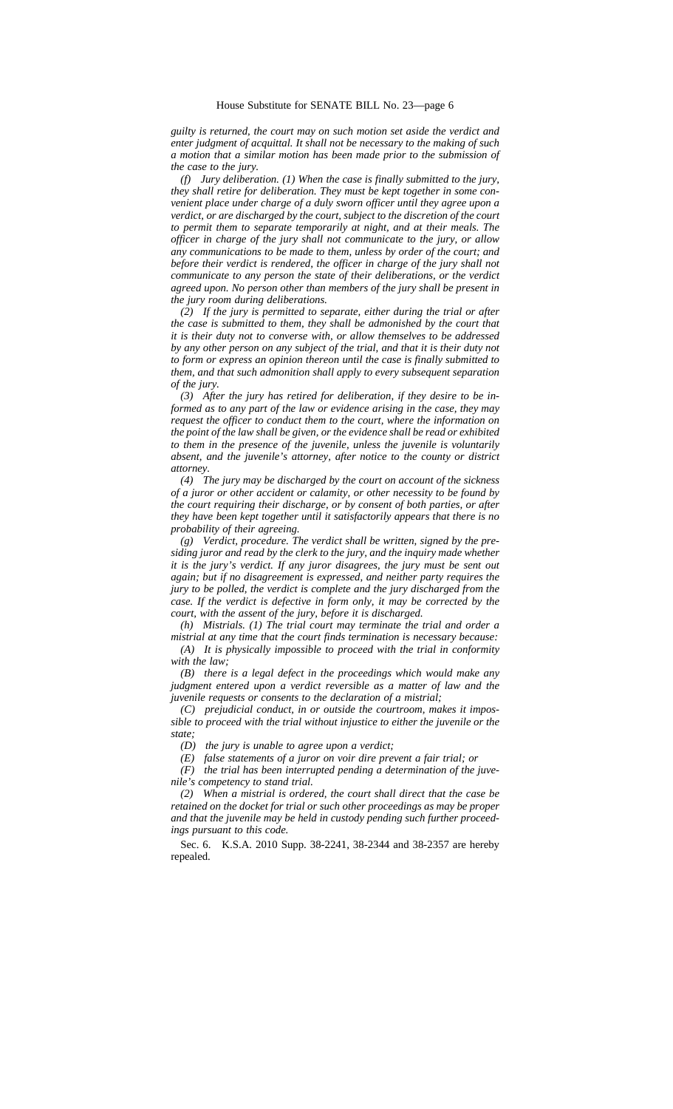*guilty is returned, the court may on such motion set aside the verdict and enter judgment of acquittal. It shall not be necessary to the making of such a motion that a similar motion has been made prior to the submission of the case to the jury.*

*(f) Jury deliberation. (1) When the case is finally submitted to the jury, they shall retire for deliberation. They must be kept together in some convenient place under charge of a duly sworn officer until they agree upon a verdict, or are discharged by the court, subject to the discretion of the court to permit them to separate temporarily at night, and at their meals. The officer in charge of the jury shall not communicate to the jury, or allow any communications to be made to them, unless by order of the court; and before their verdict is rendered, the officer in charge of the jury shall not communicate to any person the state of their deliberations, or the verdict agreed upon. No person other than members of the jury shall be present in the jury room during deliberations.*

*(2) If the jury is permitted to separate, either during the trial or after the case is submitted to them, they shall be admonished by the court that it is their duty not to converse with, or allow themselves to be addressed by any other person on any subject of the trial, and that it is their duty not to form or express an opinion thereon until the case is finally submitted to them, and that such admonition shall apply to every subsequent separation of the jury.*

*(3) After the jury has retired for deliberation, if they desire to be informed as to any part of the law or evidence arising in the case, they may request the officer to conduct them to the court, where the information on the point of the law shall be given, or the evidence shall be read or exhibited to them in the presence of the juvenile, unless the juvenile is voluntarily absent, and the juvenile's attorney, after notice to the county or district attorney.*

*(4) The jury may be discharged by the court on account of the sickness of a juror or other accident or calamity, or other necessity to be found by the court requiring their discharge, or by consent of both parties, or after they have been kept together until it satisfactorily appears that there is no probability of their agreeing.*

*(g) Verdict, procedure. The verdict shall be written, signed by the presiding juror and read by the clerk to the jury, and the inquiry made whether it is the jury's verdict. If any juror disagrees, the jury must be sent out again; but if no disagreement is expressed, and neither party requires the jury to be polled, the verdict is complete and the jury discharged from the case. If the verdict is defective in form only, it may be corrected by the court, with the assent of the jury, before it is discharged.*

*(h) Mistrials. (1) The trial court may terminate the trial and order a mistrial at any time that the court finds termination is necessary because: (A) It is physically impossible to proceed with the trial in conformity with the law;*

*(B) there is a legal defect in the proceedings which would make any judgment entered upon a verdict reversible as a matter of law and the juvenile requests or consents to the declaration of a mistrial;*

*(C) prejudicial conduct, in or outside the courtroom, makes it impossible to proceed with the trial without injustice to either the juvenile or the state;*

*(D) the jury is unable to agree upon a verdict;*

*(E) false statements of a juror on voir dire prevent a fair trial; or*

*(F) the trial has been interrupted pending a determination of the juvenile's competency to stand trial.*

*(2) When a mistrial is ordered, the court shall direct that the case be retained on the docket for trial or such other proceedings as may be proper and that the juvenile may be held in custody pending such further proceedings pursuant to this code.*

Sec. 6. K.S.A. 2010 Supp. 38-2241, 38-2344 and 38-2357 are hereby repealed.